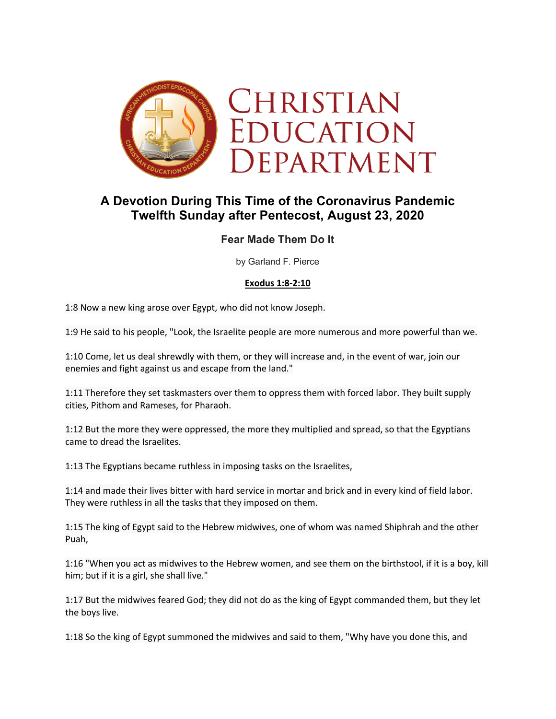

# **A Devotion During This Time of the Coronavirus Pandemic Twelfth Sunday after Pentecost, August 23, 2020**

## **Fear Made Them Do It**

by Garland F. Pierce

#### **Exodus 1:8-2:10**

1:8 Now a new king arose over Egypt, who did not know Joseph.

1:9 He said to his people, "Look, the Israelite people are more numerous and more powerful than we.

1:10 Come, let us deal shrewdly with them, or they will increase and, in the event of war, join our enemies and fight against us and escape from the land."

1:11 Therefore they set taskmasters over them to oppress them with forced labor. They built supply cities, Pithom and Rameses, for Pharaoh.

1:12 But the more they were oppressed, the more they multiplied and spread, so that the Egyptians came to dread the Israelites.

1:13 The Egyptians became ruthless in imposing tasks on the Israelites,

1:14 and made their lives bitter with hard service in mortar and brick and in every kind of field labor. They were ruthless in all the tasks that they imposed on them.

1:15 The king of Egypt said to the Hebrew midwives, one of whom was named Shiphrah and the other Puah,

1:16 "When you act as midwives to the Hebrew women, and see them on the birthstool, if it is a boy, kill him; but if it is a girl, she shall live."

1:17 But the midwives feared God; they did not do as the king of Egypt commanded them, but they let the boys live.

1:18 So the king of Egypt summoned the midwives and said to them, "Why have you done this, and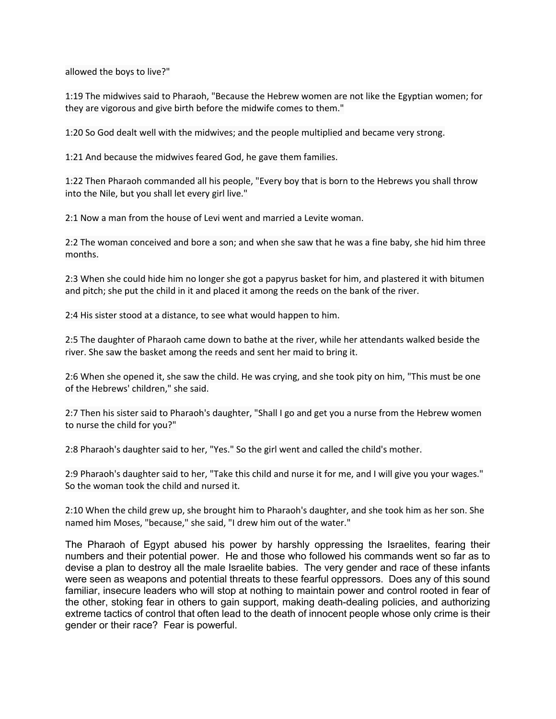allowed the boys to live?"

1:19 The midwives said to Pharaoh, "Because the Hebrew women are not like the Egyptian women; for they are vigorous and give birth before the midwife comes to them."

1:20 So God dealt well with the midwives; and the people multiplied and became very strong.

1:21 And because the midwives feared God, he gave them families.

1:22 Then Pharaoh commanded all his people, "Every boy that is born to the Hebrews you shall throw into the Nile, but you shall let every girl live."

2:1 Now a man from the house of Levi went and married a Levite woman.

2:2 The woman conceived and bore a son; and when she saw that he was a fine baby, she hid him three months.

2:3 When she could hide him no longer she got a papyrus basket for him, and plastered it with bitumen and pitch; she put the child in it and placed it among the reeds on the bank of the river.

2:4 His sister stood at a distance, to see what would happen to him.

2:5 The daughter of Pharaoh came down to bathe at the river, while her attendants walked beside the river. She saw the basket among the reeds and sent her maid to bring it.

2:6 When she opened it, she saw the child. He was crying, and she took pity on him, "This must be one of the Hebrews' children," she said.

2:7 Then his sister said to Pharaoh's daughter, "Shall I go and get you a nurse from the Hebrew women to nurse the child for you?"

2:8 Pharaoh's daughter said to her, "Yes." So the girl went and called the child's mother.

2:9 Pharaoh's daughter said to her, "Take this child and nurse it for me, and I will give you your wages." So the woman took the child and nursed it.

2:10 When the child grew up, she brought him to Pharaoh's daughter, and she took him as her son. She named him Moses, "because," she said, "I drew him out of the water."

The Pharaoh of Egypt abused his power by harshly oppressing the Israelites, fearing their numbers and their potential power. He and those who followed his commands went so far as to devise a plan to destroy all the male Israelite babies. The very gender and race of these infants were seen as weapons and potential threats to these fearful oppressors. Does any of this sound familiar, insecure leaders who will stop at nothing to maintain power and control rooted in fear of the other, stoking fear in others to gain support, making death-dealing policies, and authorizing extreme tactics of control that often lead to the death of innocent people whose only crime is their gender or their race? Fear is powerful.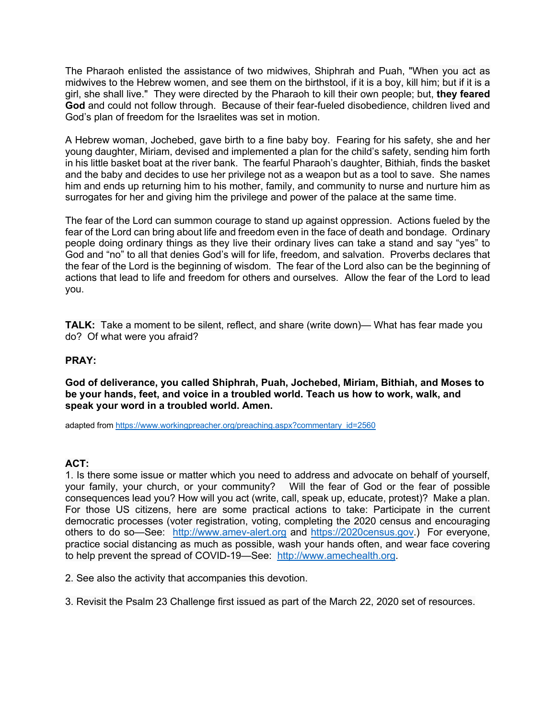The Pharaoh enlisted the assistance of two midwives, Shiphrah and Puah, "When you act as midwives to the Hebrew women, and see them on the birthstool, if it is a boy, kill him; but if it is a girl, she shall live." They were directed by the Pharaoh to kill their own people; but, **they feared God** and could not follow through. Because of their fear-fueled disobedience, children lived and God's plan of freedom for the Israelites was set in motion.

A Hebrew woman, Jochebed, gave birth to a fine baby boy. Fearing for his safety, she and her young daughter, Miriam, devised and implemented a plan for the child's safety, sending him forth in his little basket boat at the river bank. The fearful Pharaoh's daughter, Bithiah, finds the basket and the baby and decides to use her privilege not as a weapon but as a tool to save. She names him and ends up returning him to his mother, family, and community to nurse and nurture him as surrogates for her and giving him the privilege and power of the palace at the same time.

The fear of the Lord can summon courage to stand up against oppression. Actions fueled by the fear of the Lord can bring about life and freedom even in the face of death and bondage. Ordinary people doing ordinary things as they live their ordinary lives can take a stand and say "yes" to God and "no" to all that denies God's will for life, freedom, and salvation. Proverbs declares that the fear of the Lord is the beginning of wisdom. The fear of the Lord also can be the beginning of actions that lead to life and freedom for others and ourselves. Allow the fear of the Lord to lead you.

**TALK:** Take a moment to be silent, reflect, and share (write down)— What has fear made you do? Of what were you afraid?

#### **PRAY:**

**God of deliverance, you called Shiphrah, Puah, Jochebed, Miriam, Bithiah, and Moses to be your hands, feet, and voice in a troubled world. Teach us how to work, walk, and speak your word in a troubled world. Amen.**

adapted from https://www.workingpreacher.org/preaching.aspx?commentary\_id=2560

#### **ACT:**

1. Is there some issue or matter which you need to address and advocate on behalf of yourself, your family, your church, or your community? Will the fear of God or the fear of possible consequences lead you? How will you act (write, call, speak up, educate, protest)? Make a plan. For those US citizens, here are some practical actions to take: Participate in the current democratic processes (voter registration, voting, completing the 2020 census and encouraging others to do so—See: http://www.amev-alert.org and https://2020census.gov.) For everyone, practice social distancing as much as possible, wash your hands often, and wear face covering to help prevent the spread of COVID-19-See: http://www.amechealth.org.

2. See also the activity that accompanies this devotion.

3. Revisit the Psalm 23 Challenge first issued as part of the March 22, 2020 set of resources.